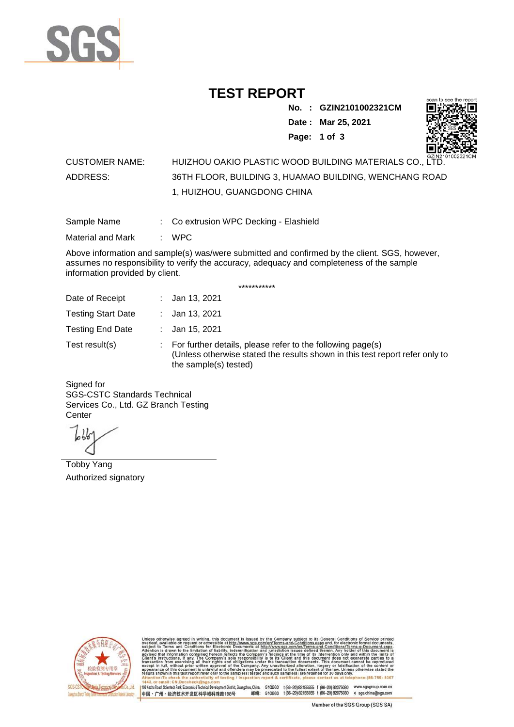

## **TEST REPORT**

**No. : GZIN2101002321CM Date : Mar 25, 2021 Page: 1 of 3** 



## CUSTOMER NAME: HUIZHOU OAKIO PLASTIC WOOD BUILDING MATERIALS CO., LTD. ADDRESS: 36TH FLOOR, BUILDING 3, HUAMAO BUILDING, WENCHANG ROAD 1, HUIZHOU, GUANGDONG CHINA

Sample Name : Co extrusion WPC Decking - Elashield

Material and Mark : WPC

Above information and sample(s) was/were submitted and confirmed by the client. SGS, however, assumes no responsibility to verify the accuracy, adequacy and completeness of the sample information provided by client.

\*\*\*\*\*\*\*\*\*\*\*

| Date of Receipt           | : Jan 13, 2021                                                                                                                                                        |
|---------------------------|-----------------------------------------------------------------------------------------------------------------------------------------------------------------------|
| <b>Testing Start Date</b> | : Jan 13, 2021                                                                                                                                                        |
| <b>Testing End Date</b>   | : Jan 15, 2021                                                                                                                                                        |
| Test result(s)            | : For further details, please refer to the following page(s)<br>(Unless otherwise stated the results shown in this test report refer only to<br>the sample(s) tested) |

Signed for SGS-CSTC Standards Technical Services Co., Ltd. GZ Branch Testing **Center** 

Tobby Yang Authorized signatory



510663 t(86-20)82155555 f (86-20)82075080 www.sgsgroup.com.cn<br>510663 t(86-20)82155555 f (86-20)82075080 e sgs.china@sgs.com 198 Kezhu Road, Scientech Park, Eo ou, China. tomic & Tec nical Dave nt District ( 邮编: 中国·广州·经济技术开发区科学城科珠路198号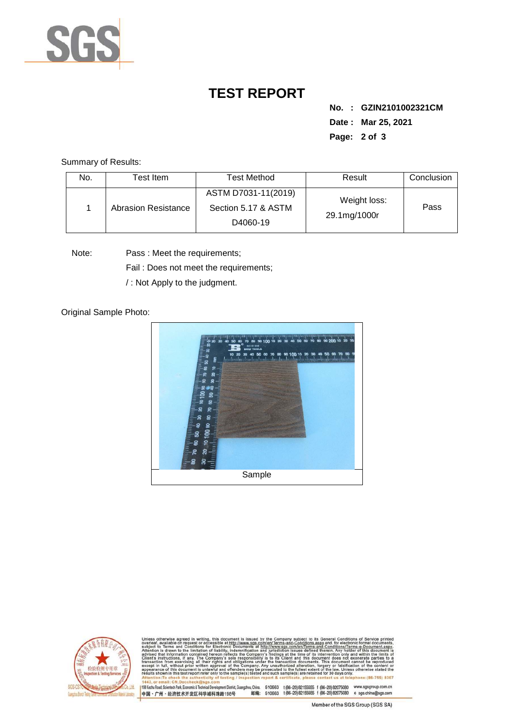

## **TEST REPORT**

**No. : GZIN2101002321CM Date : Mar 25, 2021 Page: 2 of 3** 

Summary of Results:

| No. | Test Item.                 | <b>Test Method</b>                                     | Result                       | Conclusion |
|-----|----------------------------|--------------------------------------------------------|------------------------------|------------|
|     | <b>Abrasion Resistance</b> | ASTM D7031-11(2019)<br>Section 5.17 & ASTM<br>D4060-19 | Weight loss:<br>29.1mg/1000r | Pass       |

Note: Pass : Meet the requirements;

Fail : Does not meet the requirements;

/ : Not Apply to the judgment.

Original Sample Photo:





Conditions/Terms-e-Dor<br>rein. Any holder of this nentDistrict,Guangzhou,China. 510663 t (86–20) 82155555 f (86–20) 82075080 www.sgsgroup.com.cn<br>格198号 邮编: 510663 t (86–20) 82155555 f (86–20) 82075080 e sgs.china@sgs.com 198 Kezhu Road, Scientech Park, Economic & Technical Develo 中国·广州·经济技术开发区科学城科珠路198号